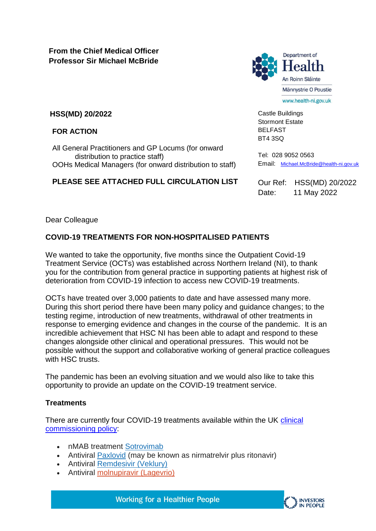**From the Chief Medical Officer Professor Sir Michael McBride**



Castle Buildings Stormont Estate BELFAST BT4 3SQ

**HSS(MD) 20/2022**

**FOR ACTION**

All General Practitioners and GP Locums (for onward distribution to practice staff) OOHs Medical Managers (for onward distribution to staff)

### **PLEASE SEE ATTACHED FULL CIRCULATION LIST**

Tel: 028 9052 0563 Email: [Michael.McBride@health-ni.gov.uk](mailto:Michael.McBride@health-ni.gov.uk)

Our Ref: HSS(MD) 20/2022 Date: 11 May 2022

Dear Colleague

# **COVID-19 TREATMENTS FOR NON-HOSPITALISED PATIENTS**

We wanted to take the opportunity, five months since the Outpatient Covid-19 Treatment Service (OCTs) was established across Northern Ireland (NI), to thank you for the contribution from general practice in supporting patients at highest risk of deterioration from COVID-19 infection to access new COVID-19 treatments.

OCTs have treated over 3,000 patients to date and have assessed many more. During this short period there have been many policy and guidance changes; to the testing regime, introduction of new treatments, withdrawal of other treatments in response to emerging evidence and changes in the course of the pandemic. It is an incredible achievement that HSC NI has been able to adapt and respond to these changes alongside other clinical and operational pressures. This would not be possible without the support and collaborative working of general practice colleagues with HSC trusts.

The pandemic has been an evolving situation and we would also like to take this opportunity to provide an update on the COVID-19 treatment service.

# **Treatments**

There are currently four COVID-19 treatments available within the UK [clinical](https://www.health-ni.gov.uk/publications/interim-clinical-commissioning-policy-neutralising-monoclonal-antibodies-or-antivirals-non)  [commissioning policy:](https://www.health-ni.gov.uk/publications/interim-clinical-commissioning-policy-neutralising-monoclonal-antibodies-or-antivirals-non)

- nMAB treatment [Sotrovimab](https://www.gov.uk/government/publications/regulatory-approval-of-xevudy-sotrovimab/patient-information-leaflet-for-xevudy)
- Antiviral **[Paxlovid](https://www.gov.uk/government/publications/regulatory-approval-of-paxlovid/patient-information-leaflet-for-paxlovid)** (may be known as nirmatrelvir plus ritonavir)
- Antiviral [Remdesivir \(Veklury\)](https://www.emcmedicines.com/en-gb/northernireland/medicine?id=e8165603-4ea0-4a1a-9359-b6de8eeb85f5&type=pil)
- Antiviral [molnupiravir \(Lagevrio\)](https://www.gov.uk/government/publications/regulatory-approval-of-lagevrio-molnupiravir/patient-information-leaflet-for-lagevrio)

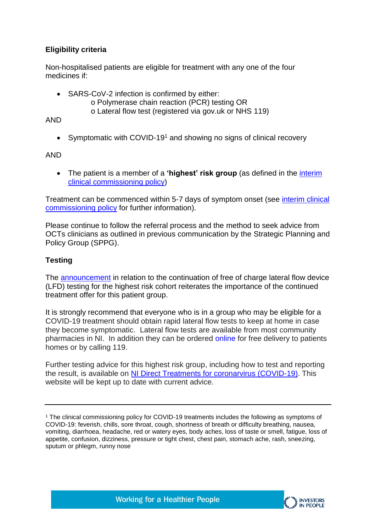# **Eligibility criteria**

Non-hospitalised patients are eligible for treatment with any one of the four medicines if:

- SARS-CoV-2 infection is confirmed by either:
	- o Polymerase chain reaction (PCR) testing OR
	- o Lateral flow test (registered via gov.uk or NHS 119)

AND

• Symptomatic with COVID-19<sup>1</sup> and showing no signs of clinical recovery

AND

 The patient is a member of a **'highest' risk group** (as defined in the [interim](https://www.health-ni.gov.uk/publications/interim-clinical-commissioning-policy-neutralising-monoclonal-antibodies-or-antivirals-non)  [clinical commissioning policy\)](https://www.health-ni.gov.uk/publications/interim-clinical-commissioning-policy-neutralising-monoclonal-antibodies-or-antivirals-non)

Treatment can be commenced within 5-7 days of symptom onset (see [interim clinical](https://www.health-ni.gov.uk/sites/default/files/publications/health/doh-interim-clinical-policy-antivirals.pdf.pdf)  [commissioning policy](https://www.health-ni.gov.uk/sites/default/files/publications/health/doh-interim-clinical-policy-antivirals.pdf.pdf) for further information).

Please continue to follow the referral process and the method to seek advice from OCTs clinicians as outlined in previous communication by the Strategic Planning and Policy Group (SPPG).

# **Testing**

The [announcement](https://www.health-ni.gov.uk/news/covid-19-testing-and-tracing-changing-northern-ireland) in relation to the continuation of free of charge lateral flow device (LFD) testing for the highest risk cohort reiterates the importance of the continued treatment offer for this patient group.

It is strongly recommend that everyone who is in a group who may be eligible for a COVID-19 treatment should obtain rapid lateral flow tests to keep at home in case they become symptomatic. Lateral flow tests are available from most community pharmacies in NI. In addition they can be ordered [online](https://www.gov.uk/order-coronavirus-rapid-lateral-flow-tests) for free delivery to patients homes or by calling 119.

Further testing advice for this highest risk group, including how to test and reporting the result, is available on [NI Direct Treatments for coronarvirus \(COVID-19\).](https://www.nidirect.gov.uk/articles/treatments-coronavirus-covid-19) This website will be kept up to date with current advice.



<sup>&</sup>lt;sup>1</sup> The clinical commissioning policy for COVID-19 treatments includes the following as symptoms of COVID-19: feverish, chills, sore throat, cough, shortness of breath or difficulty breathing, nausea, vomiting, diarrhoea, headache, red or watery eyes, body aches, loss of taste or smell, fatigue, loss of appetite, confusion, dizziness, pressure or tight chest, chest pain, stomach ache, rash, sneezing, sputum or phlegm, runny nose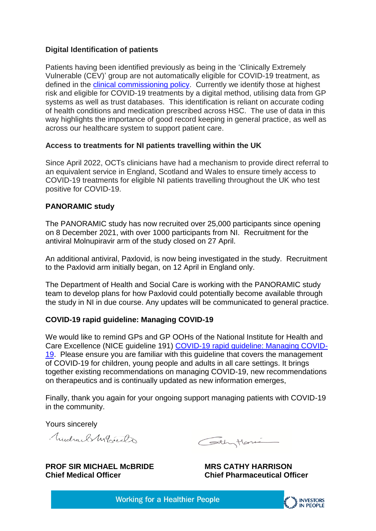### **Digital Identification of patients**

Patients having been identified previously as being in the 'Clinically Extremely Vulnerable (CEV)' group are not automatically eligible for COVID-19 treatment, as defined in the [clinical commissioning policy.](https://www.health-ni.gov.uk/publications/interim-clinical-commissioning-policy-neutralising-monoclonal-antibodies-or-antivirals-non) Currently we identify those at highest risk and eligible for COVID-19 treatments by a digital method, utilising data from GP systems as well as trust databases. This identification is reliant on accurate coding of health conditions and medication prescribed across HSC. The use of data in this way highlights the importance of good record keeping in general practice, as well as across our healthcare system to support patient care.

#### **Access to treatments for NI patients travelling within the UK**

Since April 2022, OCTs clinicians have had a mechanism to provide direct referral to an equivalent service in England, Scotland and Wales to ensure timely access to COVID-19 treatments for eligible NI patients travelling throughout the UK who test positive for COVID-19.

### **PANORAMIC study**

The PANORAMIC study has now recruited over 25,000 participants since opening on 8 December 2021, with over 1000 participants from NI. Recruitment for the antiviral Molnupiravir arm of the study closed on 27 April.

An additional antiviral, Paxlovid, is now being investigated in the study. Recruitment to the Paxlovid arm initially began, on 12 April in England only.

The Department of Health and Social Care is working with the PANORAMIC study team to develop plans for how Paxlovid could potentially become available through the study in NI in due course. Any updates will be communicated to general practice.

# **COVID-19 rapid guideline: Managing COVID-19**

We would like to remind GPs and GP OOHs of the National Institute for Health and Care Excellence (NICE guideline 191) [COVID-19 rapid guideline: Managing COVID-](https://www.nice.org.uk/guidance/ng191)[19.](https://www.nice.org.uk/guidance/ng191) Please ensure you are familiar with this guideline that covers the management of COVID-19 for children, young people and adults in all care settings. It brings together existing recommendations on managing COVID-19, new recommendations on therapeutics and is continually updated as new information emerges,

Finally, thank you again for your ongoing support managing patients with COVID-19 in the community.

Yours sincerely

Mudra, Blyg Er

Cothytonic

**PROF SIR MICHAEL McBRIDE MRS CATHY HARRISON Chief Medical Officer Chief Pharmaceutical Officer**

**Working for a Healthier People**